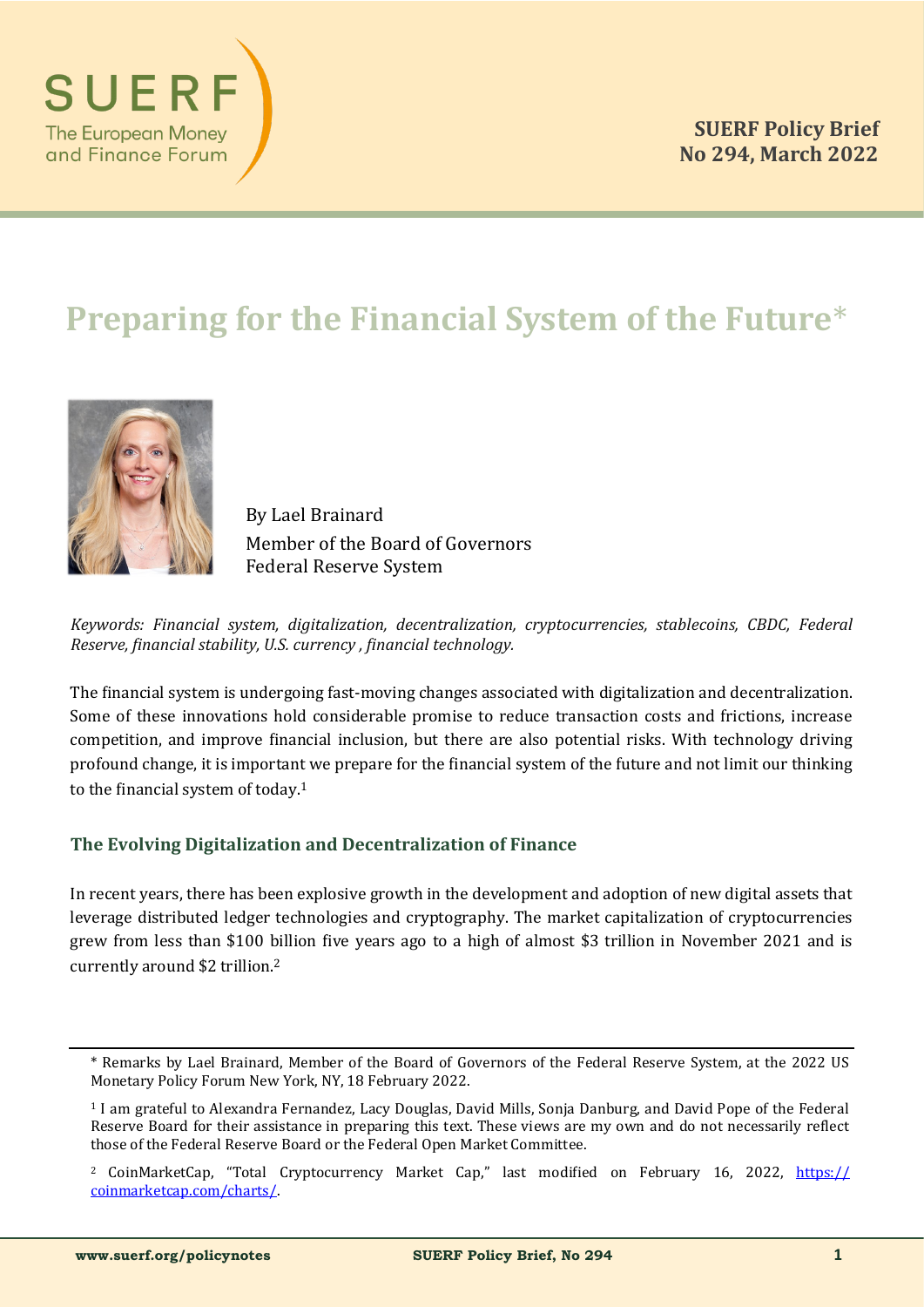

# **Preparing for the Financial System of the Future**\*



By Lael Brainard Member of the Board of Governors Federal Reserve System

*Keywords: Financial system, digitalization, decentralization, cryptocurrencies, stablecoins, CBDC, Federal Reserve, financial stability, U.S. currency , financial technology.*

The financial system is undergoing fast-moving changes associated with digitalization and decentralization. Some of these innovations hold considerable promise to reduce transaction costs and frictions, increase competition, and improve financial inclusion, but there are also potential risks. With technology driving profound change, it is important we prepare for the financial system of the future and not limit our thinking to the financial system of today.<sup>1</sup>

## **The Evolving Digitalization and Decentralization of Finance**

In recent years, there has been explosive growth in the development and adoption of new digital assets that leverage distributed ledger technologies and cryptography. The market capitalization of cryptocurrencies grew from less than \$100 billion five years ago to a high of almost \$3 trillion in November 2021 and is currently around \$2 trillion.<sup>2</sup>

<sup>\*</sup> Remarks by Lael Brainard, Member of the Board of Governors of the Federal Reserve System, at the 2022 US Monetary Policy Forum New York, NY, 18 February 2022.

<sup>1</sup> I am grateful to Alexandra Fernandez, Lacy Douglas, David Mills, Sonja Danburg, and David Pope of the Federal Reserve Board for their assistance in preparing this text. These views are my own and do not necessarily reflect those of the Federal Reserve Board or the Federal Open Market Committee.

<sup>&</sup>lt;sup>2</sup> CoinMarketCap, "Total Cryptocurrency Market Cap," last modified on February 16, 2022, [https://](https://coinmarketcap.com/charts) [coinmarketcap.com/charts/.](https://coinmarketcap.com/charts)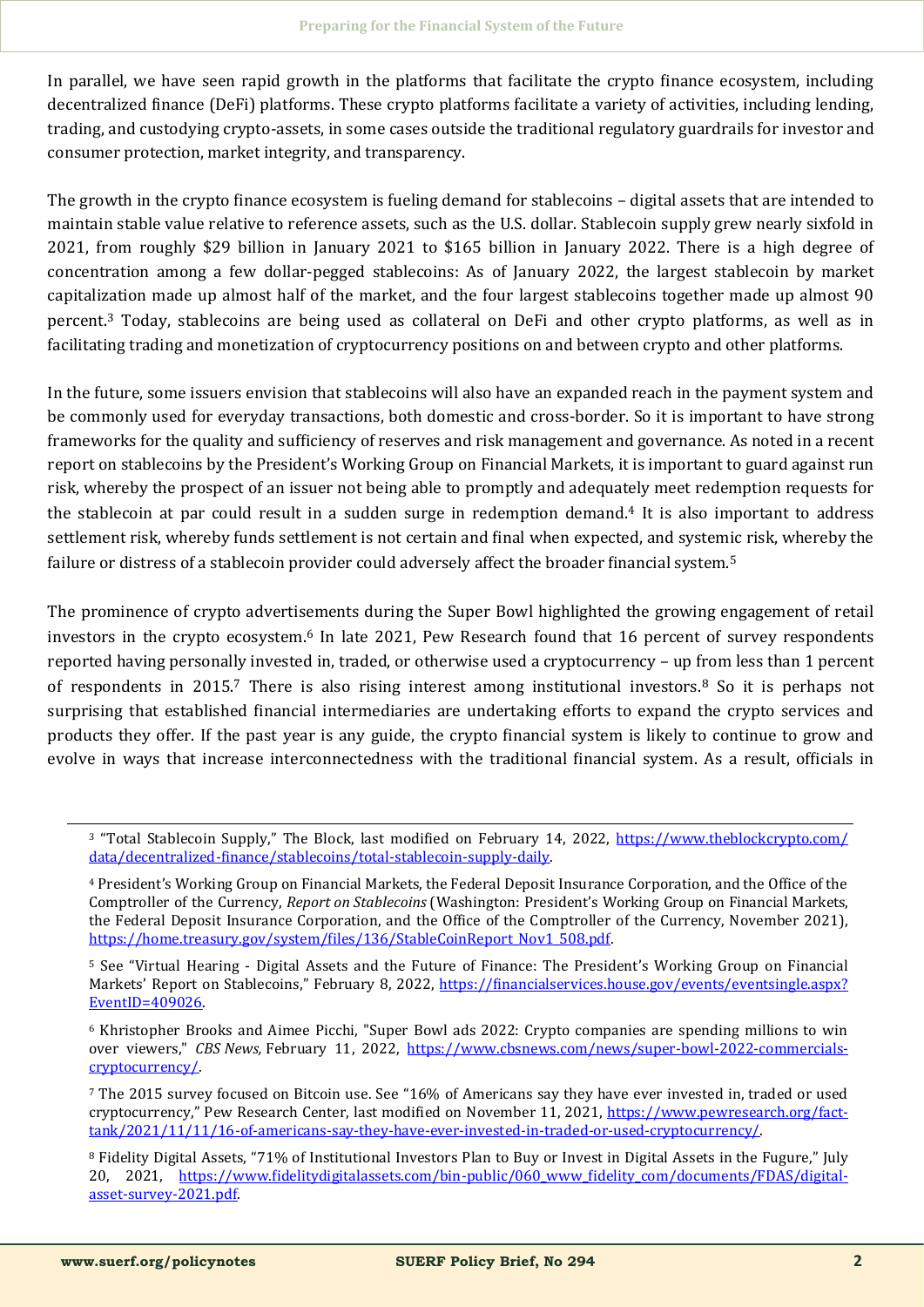In parallel, we have seen rapid growth in the platforms that facilitate the crypto finance ecosystem, including decentralized finance (DeFi) platforms. These crypto platforms facilitate a variety of activities, including lending, trading, and custodying crypto-assets, in some cases outside the traditional regulatory guardrails for investor and consumer protection, market integrity, and transparency.

The growth in the crypto finance ecosystem is fueling demand for stablecoins – digital assets that are intended to maintain stable value relative to reference assets, such as the U.S. dollar. Stablecoin supply grew nearly sixfold in 2021, from roughly \$29 billion in January 2021 to \$165 billion in January 2022. There is a high degree of concentration among a few dollar-pegged stablecoins: As of January 2022, the largest stablecoin by market capitalization made up almost half of the market, and the four largest stablecoins together made up almost 90 percent.<sup>3</sup> Today, stablecoins are being used as collateral on DeFi and other crypto platforms, as well as in facilitating trading and monetization of cryptocurrency positions on and between crypto and other platforms.

In the future, some issuers envision that stablecoins will also have an expanded reach in the payment system and be commonly used for everyday transactions, both domestic and cross-border. So it is important to have strong frameworks for the quality and sufficiency of reserves and risk management and governance. As noted in a recent report on stablecoins by the President's Working Group on Financial Markets, it is important to guard against run risk, whereby the prospect of an issuer not being able to promptly and adequately meet redemption requests for the stablecoin at par could result in a sudden surge in redemption demand.<sup>4</sup> It is also important to address settlement risk, whereby funds settlement is not certain and final when expected, and systemic risk, whereby the failure or distress of a stablecoin provider could adversely affect the broader financial system.<sup>5</sup>

The prominence of crypto advertisements during the Super Bowl highlighted the growing engagement of retail investors in the crypto ecosystem.<sup>6</sup> In late 2021, Pew Research found that 16 percent of survey respondents reported having personally invested in, traded, or otherwise used a cryptocurrency – up from less than 1 percent of respondents in 2015.<sup>7</sup> There is also rising interest among institutional investors.<sup>8</sup> So it is perhaps not surprising that established financial intermediaries are undertaking efforts to expand the crypto services and products they offer. If the past year is any guide, the crypto financial system is likely to continue to grow and evolve in ways that increase interconnectedness with the traditional financial system. As a result, officials in

<sup>5</sup> See "Virtual Hearing - Digital Assets and the Future of Finance: The President's Working Group on Financial Markets' Report on Stablecoins," February 8, 2022, [https://financialservices.house.gov/events/eventsingle.aspx?](https://financialservices.house.gov/events/eventsingle.aspx?EventID=409026) [EventID=409026.](https://financialservices.house.gov/events/eventsingle.aspx?EventID=409026) 

<sup>6</sup> Khristopher Brooks and Aimee Picchi, "Super Bowl ads 2022: Crypto companies are spending millions to win over viewers," *CBS News,* February 11, 2022, [https://www.cbsnews.com/news/super](https://www.cbsnews.com/news/super-bowl-2022-commercials-cryptocurrency/)-bowl-2022-commercials[cryptocurrency/.](https://www.cbsnews.com/news/super-bowl-2022-commercials-cryptocurrency/)

<sup>7</sup> The 2015 survey focused on Bitcoin use. See "16% of Americans say they have ever invested in, traded or used cryptocurrency," Pew Research Center, last modified on November 11, 2021, [https://www.pewresearch.org/fact](https://www.pewresearch.org/fact-tank/2021/11/11/16-of-americans-say-they-have-ever-invested-in-traded-or-used-cryptocurrency/)[tank/2021/11/11/16](https://www.pewresearch.org/fact-tank/2021/11/11/16-of-americans-say-they-have-ever-invested-in-traded-or-used-cryptocurrency/)-of-americans-say-they-have-ever-invested-in-traded-or-used-cryptocurrency/.

<sup>&</sup>lt;sup>3</sup> "Total Stablecoin Supply," The Block, last modified on February 14, 2022, [https://www.theblockcrypto.com/](https://www.theblockcrypto.com/data/decentralized-finance/stablecoins/total-stablecoin-supply-daily) data/decentralized-[finance/stablecoins/total](https://www.theblockcrypto.com/data/decentralized-finance/stablecoins/total-stablecoin-supply-daily)-stablecoin-supply-daily.

<sup>4</sup> President's Working Group on Financial Markets, the Federal Deposit Insurance Corporation, and the Office of the Comptroller of the Currency, *Report on Stablecoins* (Washington: President's Working Group on Financial Markets, the Federal Deposit Insurance Corporation, and the Office of the Comptroller of the Currency, November 2021), https://home.treasury.gov/system/files/136/StableCoinReport\_Nov1\_508.pdf.

<sup>8</sup> Fidelity Digital Assets, "71% of Institutional Investors Plan to Buy or Invest in Digital Assets in the Fugure," July 20, 2021, https://www.fidelitydigitalassets.com/bin-[public/060\\_www\\_fidelity\\_com/documents/FDAS/digital](https://www.fidelitydigitalassets.com/bin-public/060_www_fidelity_com/documents/FDAS/digital-asset-survey-2021.pdf)asset-survey-[2021.pdf.](https://www.fidelitydigitalassets.com/bin-public/060_www_fidelity_com/documents/FDAS/digital-asset-survey-2021.pdf)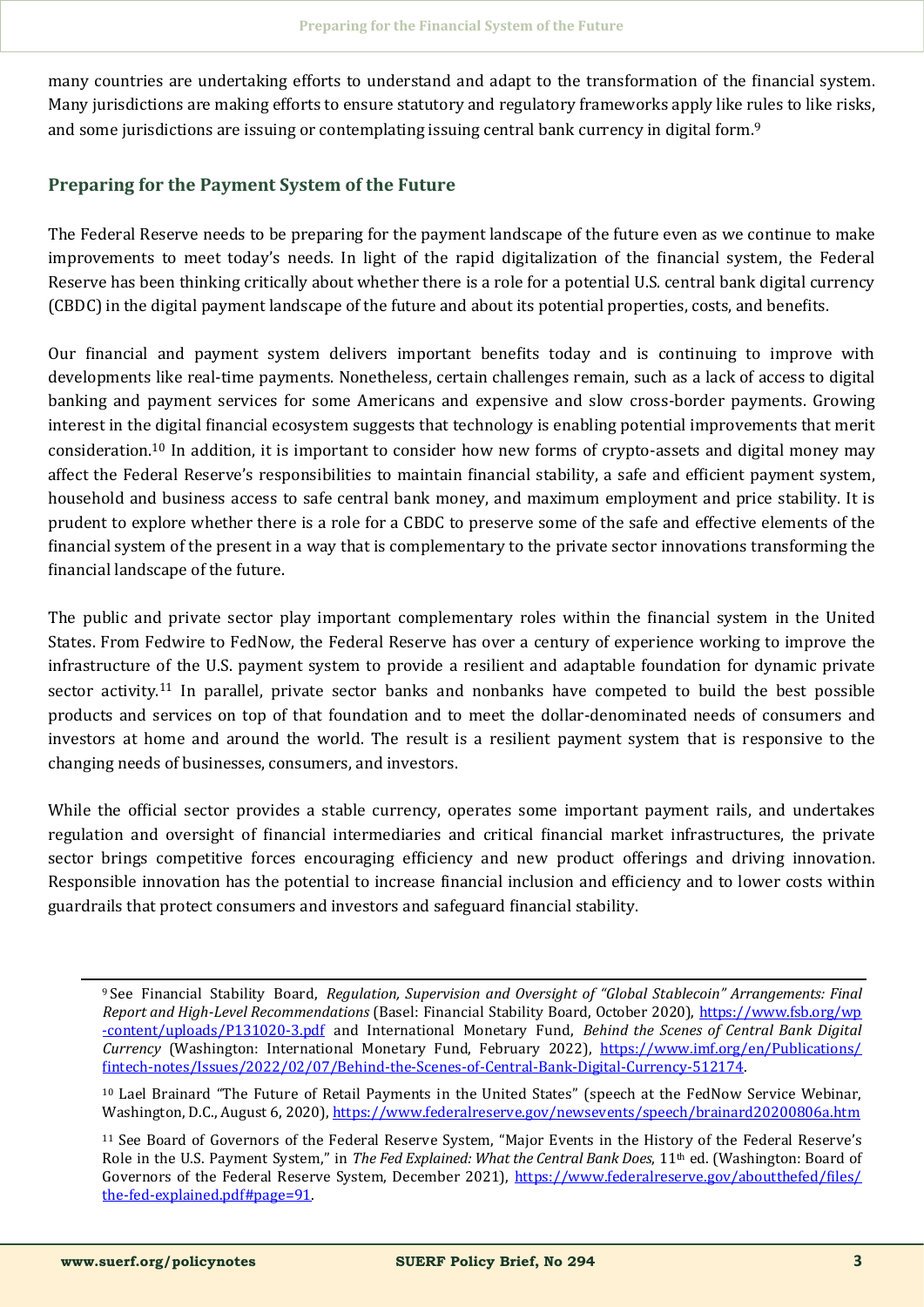many countries are undertaking efforts to understand and adapt to the transformation of the financial system. Many jurisdictions are making efforts to ensure statutory and regulatory frameworks apply like rules to like risks, and some jurisdictions are issuing or contemplating issuing central bank currency in digital form.<sup>9</sup>

## **Preparing for the Payment System of the Future**

The Federal Reserve needs to be preparing for the payment landscape of the future even as we continue to make improvements to meet today's needs. In light of the rapid digitalization of the financial system, the Federal Reserve has been thinking critically about whether there is a role for a potential U.S. central bank digital currency (CBDC) in the digital payment landscape of the future and about its potential properties, costs, and benefits.

Our financial and payment system delivers important benefits today and is continuing to improve with developments like real-time payments. Nonetheless, certain challenges remain, such as a lack of access to digital banking and payment services for some Americans and expensive and slow cross-border payments. Growing interest in the digital financial ecosystem suggests that technology is enabling potential improvements that merit consideration.<sup>10</sup> In addition, it is important to consider how new forms of crypto-assets and digital money may affect the Federal Reserve's responsibilities to maintain financial stability, a safe and efficient payment system, household and business access to safe central bank money, and maximum employment and price stability. It is prudent to explore whether there is a role for a CBDC to preserve some of the safe and effective elements of the financial system of the present in a way that is complementary to the private sector innovations transforming the financial landscape of the future.

The public and private sector play important complementary roles within the financial system in the United States. From Fedwire to FedNow, the Federal Reserve has over a century of experience working to improve the infrastructure of the U.S. payment system to provide a resilient and adaptable foundation for dynamic private sector activity.<sup>11</sup> In parallel, private sector banks and nonbanks have competed to build the best possible products and services on top of that foundation and to meet the dollar-denominated needs of consumers and investors at home and around the world. The result is a resilient payment system that is responsive to the changing needs of businesses, consumers, and investors.

While the official sector provides a stable currency, operates some important payment rails, and undertakes regulation and oversight of financial intermediaries and critical financial market infrastructures, the private sector brings competitive forces encouraging efficiency and new product offerings and driving innovation. Responsible innovation has the potential to increase financial inclusion and efficiency and to lower costs within guardrails that protect consumers and investors and safeguard financial stability.

<sup>9</sup>See Financial Stability Board, *Regulation, Supervision and Oversight of "Global Stablecoin" Arrangements: Final Report and High-Level Recommendations* (Basel: Financial Stability Board, October 2020), [https://www.fsb.org/wp](https://www.fsb.org/wp-content/uploads/P131020-3.pdf) -[content/uploads/P131020](https://www.fsb.org/wp-content/uploads/P131020-3.pdf)-3.pdf and International Monetary Fund, *Behind the Scenes of Central Bank Digital Currency* (Washington: International Monetary Fund, February 2022), [https://www.imf.org/en/Publications/](https://www.imf.org/en/Publications/fintech-notes/Issues/2022/02/07/Behind-the-Scenes-of-Central-Bank-Digital-Currency-512174) fintech-[notes/Issues/2022/02/07/Behind](https://www.imf.org/en/Publications/fintech-notes/Issues/2022/02/07/Behind-the-Scenes-of-Central-Bank-Digital-Currency-512174)-the-Scenes-of-Central-Bank-Digital-Currency-512174.

<sup>10</sup> Lael Brainard "The Future of Retail Payments in the United States" (speech at the FedNow Service Webinar, Washington, D.C., August 6, 2020),<https://www.federalreserve.gov/newsevents/speech/brainard20200806a.htm>

<sup>11</sup> See Board of Governors of the Federal Reserve System, "Major Events in the History of the Federal Reserve's Role in the U.S. Payment System," in *The Fed Explained: What the Central Bank Does*, 11<sup>th</sup> ed. (Washington: Board of Governors of the Federal Reserve System, December 2021), [https://www.federalreserve.gov/aboutthefed/files/](https://www.federalreserve.gov/aboutthefed/files/the-fed-explained.pdf#page=91) the-fed-[explained.pdf#page=91.](https://www.federalreserve.gov/aboutthefed/files/the-fed-explained.pdf#page=91)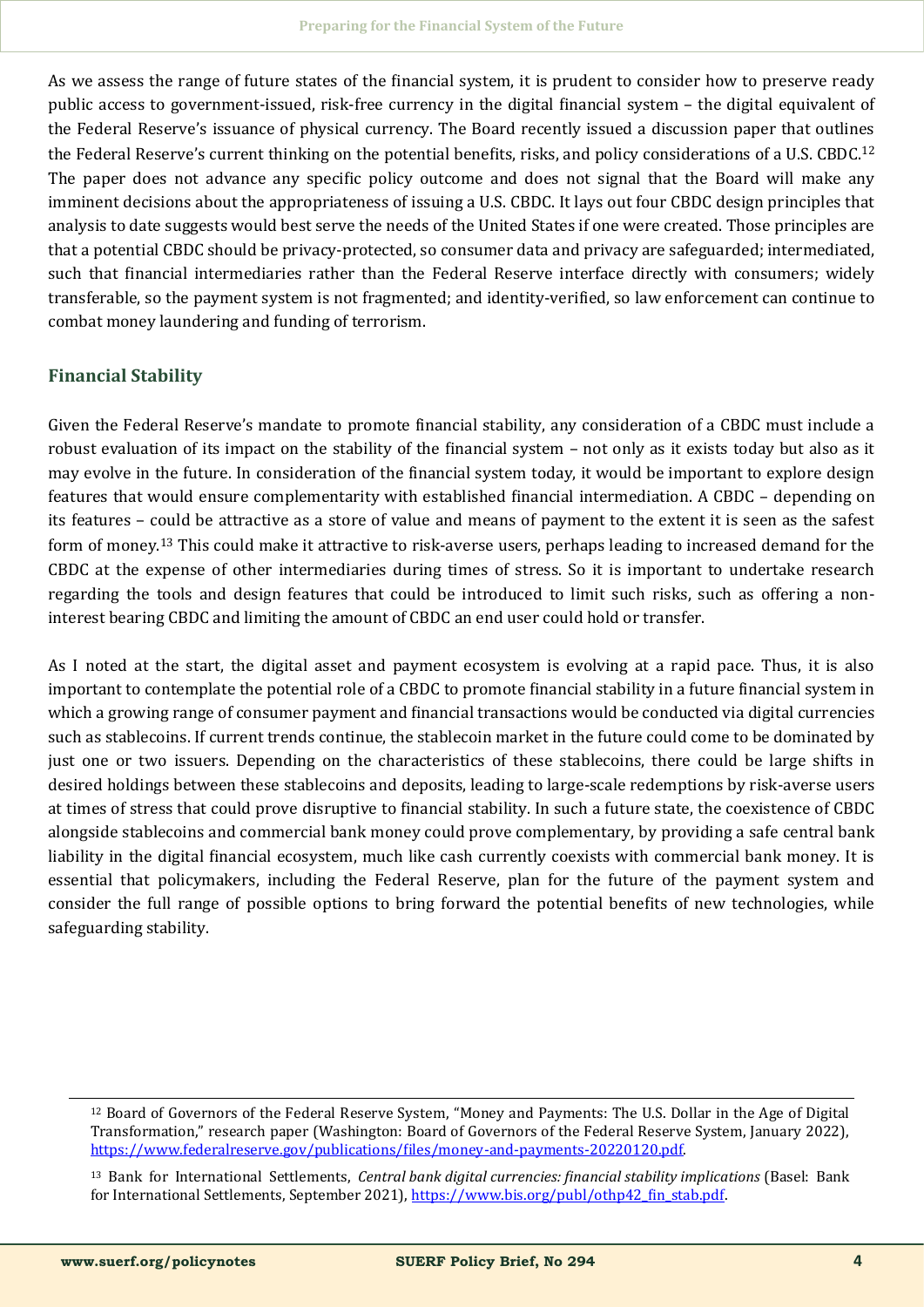As we assess the range of future states of the financial system, it is prudent to consider how to preserve ready public access to government-issued, risk-free currency in the digital financial system – the digital equivalent of the Federal Reserve's issuance of physical currency. The Board recently issued a discussion paper that outlines the Federal Reserve's current thinking on the potential benefits, risks, and policy considerations of a U.S. CBDC.<sup>12</sup> The paper does not advance any specific policy outcome and does not signal that the Board will make any imminent decisions about the appropriateness of issuing a U.S. CBDC. It lays out four CBDC design principles that analysis to date suggests would best serve the needs of the United States if one were created. Those principles are that a potential CBDC should be privacy-protected, so consumer data and privacy are safeguarded; intermediated, such that financial intermediaries rather than the Federal Reserve interface directly with consumers; widely transferable, so the payment system is not fragmented; and identity-verified, so law enforcement can continue to combat money laundering and funding of terrorism.

## **Financial Stability**

Given the Federal Reserve's mandate to promote financial stability, any consideration of a CBDC must include a robust evaluation of its impact on the stability of the financial system – not only as it exists today but also as it may evolve in the future. In consideration of the financial system today, it would be important to explore design features that would ensure complementarity with established financial intermediation. A CBDC – depending on its features – could be attractive as a store of value and means of payment to the extent it is seen as the safest form of money.<sup>13</sup> This could make it attractive to risk-averse users, perhaps leading to increased demand for the CBDC at the expense of other intermediaries during times of stress. So it is important to undertake research regarding the tools and design features that could be introduced to limit such risks, such as offering a noninterest bearing CBDC and limiting the amount of CBDC an end user could hold or transfer.

As I noted at the start, the digital asset and payment ecosystem is evolving at a rapid pace. Thus, it is also important to contemplate the potential role of a CBDC to promote financial stability in a future financial system in which a growing range of consumer payment and financial transactions would be conducted via digital currencies such as stablecoins. If current trends continue, the stablecoin market in the future could come to be dominated by just one or two issuers. Depending on the characteristics of these stablecoins, there could be large shifts in desired holdings between these stablecoins and deposits, leading to large-scale redemptions by risk-averse users at times of stress that could prove disruptive to financial stability. In such a future state, the coexistence of CBDC alongside stablecoins and commercial bank money could prove complementary, by providing a safe central bank liability in the digital financial ecosystem, much like cash currently coexists with commercial bank money. It is essential that policymakers, including the Federal Reserve, plan for the future of the payment system and consider the full range of possible options to bring forward the potential benefits of new technologies, while safeguarding stability.

<sup>12</sup> Board of Governors of the Federal Reserve System, "Money and Payments: The U.S. Dollar in the Age of Digital Transformation," research paper (Washington: Board of Governors of the Federal Reserve System, January 2022), [https://www.federalreserve.gov/publications/files/money](https://www.federalreserve.gov/publications/files/money-and-payments-20220120.pdf)-and-payments-20220120.pdf.

<sup>13</sup> Bank for International Settlements, *Central bank digital currencies: financial stability implications* (Basel: Bank for International Settlements, September 2021), [https://www.bis.org/publ/othp42\\_fin\\_stab.pdf.](https://www.bis.org/publ/othp42_fin_stab.pdf)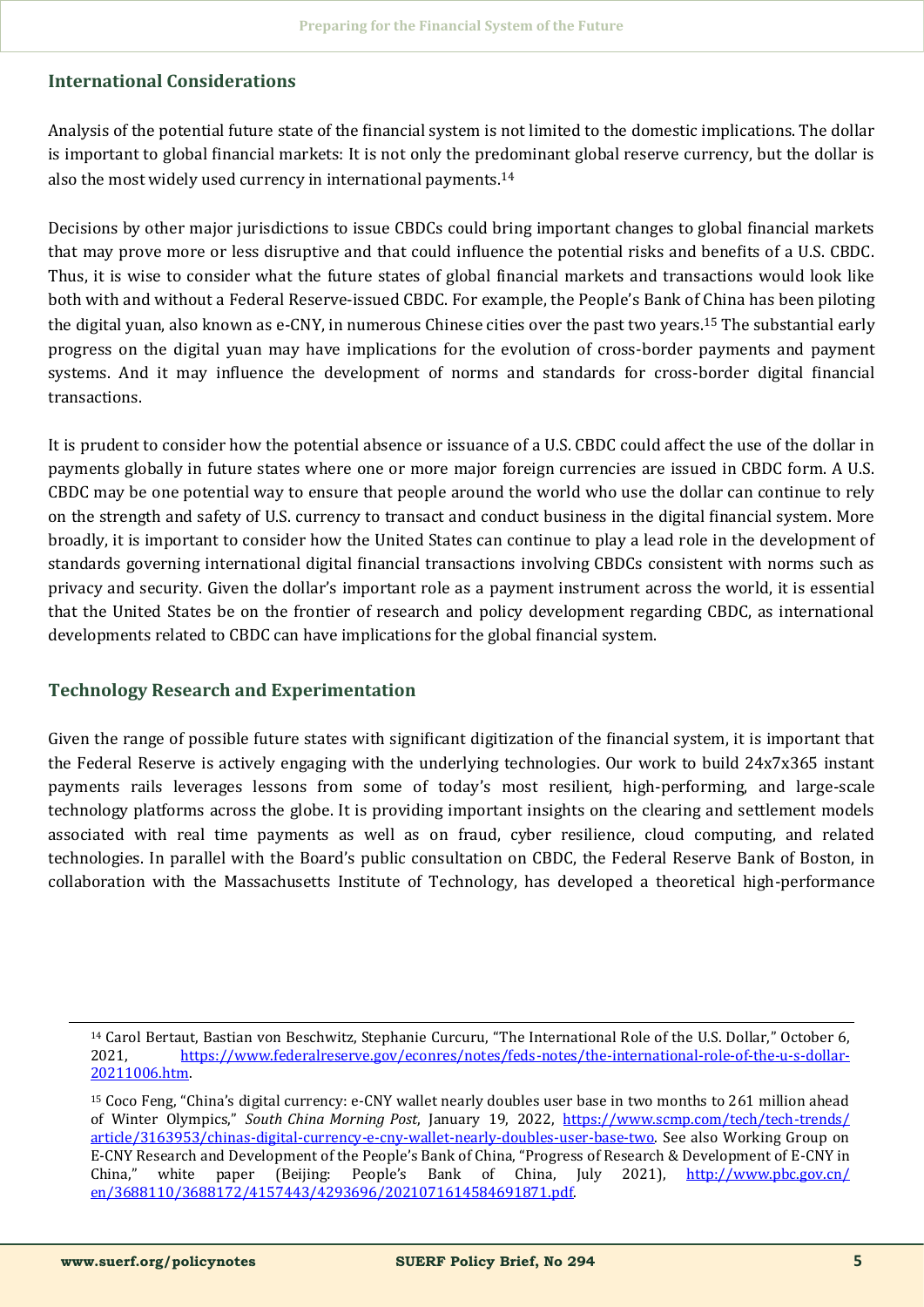## **International Considerations**

Analysis of the potential future state of the financial system is not limited to the domestic implications. The dollar is important to global financial markets: It is not only the predominant global reserve currency, but the dollar is also the most widely used currency in international payments.<sup>14</sup>

Decisions by other major jurisdictions to issue CBDCs could bring important changes to global financial markets that may prove more or less disruptive and that could influence the potential risks and benefits of a U.S. CBDC. Thus, it is wise to consider what the future states of global financial markets and transactions would look like both with and without a Federal Reserve-issued CBDC. For example, the People's Bank of China has been piloting the digital yuan, also known as e-CNY, in numerous Chinese cities over the past two years.<sup>15</sup> The substantial early progress on the digital yuan may have implications for the evolution of cross-border payments and payment systems. And it may influence the development of norms and standards for cross-border digital financial transactions.

It is prudent to consider how the potential absence or issuance of a U.S. CBDC could affect the use of the dollar in payments globally in future states where one or more major foreign currencies are issued in CBDC form. A U.S. CBDC may be one potential way to ensure that people around the world who use the dollar can continue to rely on the strength and safety of U.S. currency to transact and conduct business in the digital financial system. More broadly, it is important to consider how the United States can continue to play a lead role in the development of standards governing international digital financial transactions involving CBDCs consistent with norms such as privacy and security. Given the dollar's important role as a payment instrument across the world, it is essential that the United States be on the frontier of research and policy development regarding CBDC, as international developments related to CBDC can have implications for the global financial system.

## **Technology Research and Experimentation**

Given the range of possible future states with significant digitization of the financial system, it is important that the Federal Reserve is actively engaging with the underlying technologies. Our work to build 24x7x365 instant payments rails leverages lessons from some of today's most resilient, high-performing, and large-scale technology platforms across the globe. It is providing important insights on the clearing and settlement models associated with real time payments as well as on fraud, cyber resilience, cloud computing, and related technologies. In parallel with the Board's public consultation on CBDC, the Federal Reserve Bank of Boston, in collaboration with the Massachusetts Institute of Technology, has developed a theoretical high-performance

<sup>14</sup> Carol Bertaut, Bastian von Beschwitz, Stephanie Curcuru, "The International Role of the U.S. Dollar," October 6, 2021, [https://www.federalreserve.gov/econres/notes/feds](https://www.federalreserve.gov/econres/notes/feds-notes/the-international-role-of-the-u-s-dollar-20211006.htm)-notes/the-international-role-of-the-u-s-dollar-[20211006.htm.](https://www.federalreserve.gov/econres/notes/feds-notes/the-international-role-of-the-u-s-dollar-20211006.htm)

<sup>15</sup> Coco Feng, "China's digital currency: e-CNY wallet nearly doubles user base in two months to 261 million ahead of Winter Olympics," *South China Morning Post*, January 19, 2022, [https://www.scmp.com/tech/tech](https://www.scmp.com/tech/tech-trends/article/3163953/chinas-digital-currency-e-cny-wallet-nearly-doubles-user-base-two)-trends/ [article/3163953/chinas](https://www.scmp.com/tech/tech-trends/article/3163953/chinas-digital-currency-e-cny-wallet-nearly-doubles-user-base-two)-digital-currency-e-cny-wallet-nearly-doubles-user-base-two. See also Working Group on E-CNY Research and Development of the People's Bank of China, "Progress of Research & Development of E-CNY in China," white paper (Beijing: People's Bank of China, July 2021), [http://www.pbc.gov.cn/](http://www.pbc.gov.cn/en/3688110/3688172/4157443/4293696/2021071614584691871.pdf) [en/3688110/3688172/4157443/4293696/2021071614584691871.pdf.](http://www.pbc.gov.cn/en/3688110/3688172/4157443/4293696/2021071614584691871.pdf)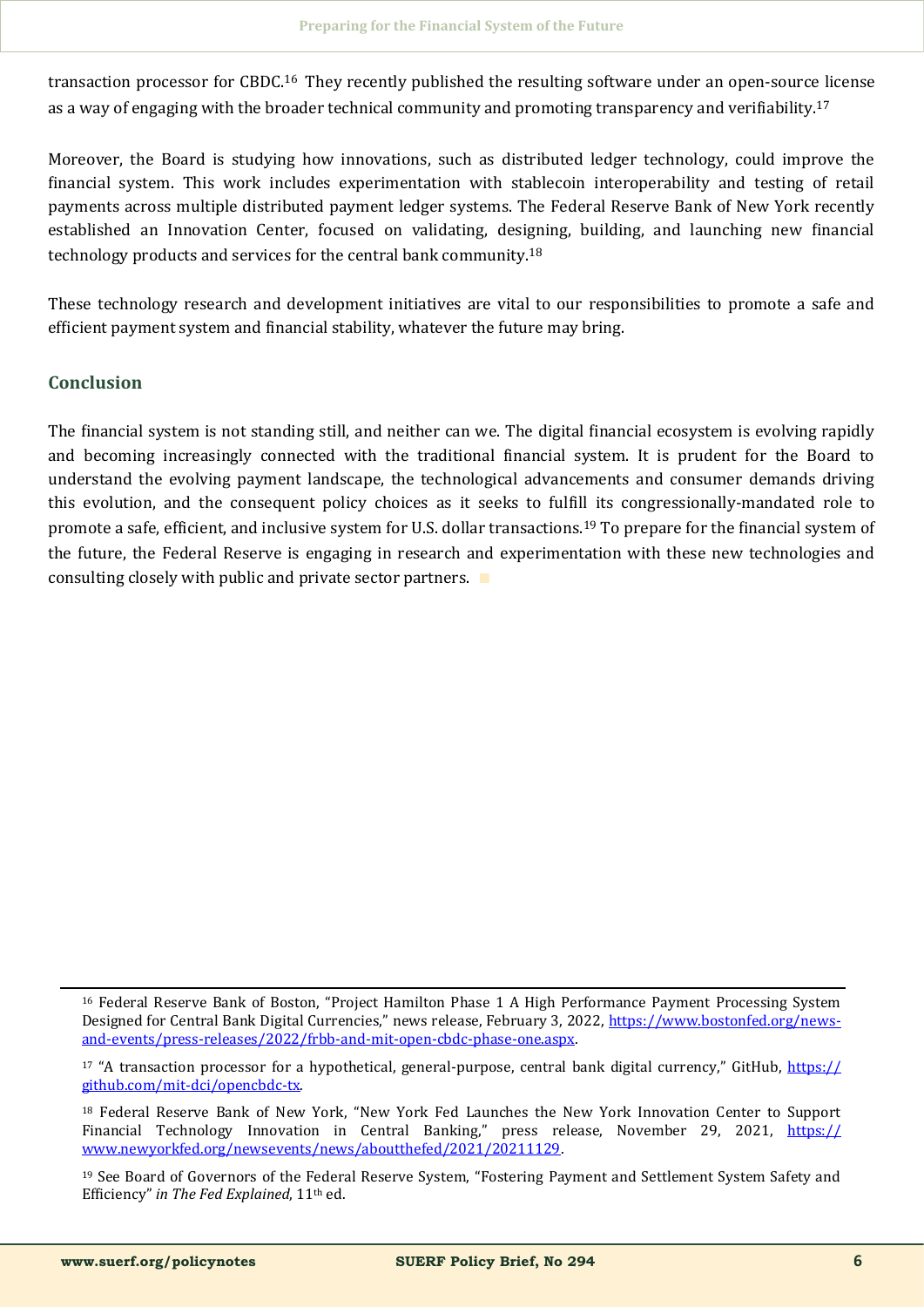transaction processor for CBDC.<sup>16</sup> They recently published the resulting software under an open-source license as a way of engaging with the broader technical community and promoting transparency and verifiability.<sup>17</sup>

Moreover, the Board is studying how innovations, such as distributed ledger technology, could improve the financial system. This work includes experimentation with stablecoin interoperability and testing of retail payments across multiple distributed payment ledger systems. The Federal Reserve Bank of New York recently established an Innovation Center, focused on validating, designing, building, and launching new financial technology products and services for the central bank community.<sup>18</sup>

These technology research and development initiatives are vital to our responsibilities to promote a safe and efficient payment system and financial stability, whatever the future may bring.

#### **Conclusion**

The financial system is not standing still, and neither can we. The digital financial ecosystem is evolving rapidly and becoming increasingly connected with the traditional financial system. It is prudent for the Board to understand the evolving payment landscape, the technological advancements and consumer demands driving this evolution, and the consequent policy choices as it seeks to fulfill its congressionally-mandated role to promote a safe, efficient, and inclusive system for U.S. dollar transactions.<sup>19</sup> To prepare for the financial system of the future, the Federal Reserve is engaging in research and experimentation with these new technologies and consulting closely with public and private sector partners. ∎

<sup>16</sup> Federal Reserve Bank of Boston, "Project Hamilton Phase 1 A High Performance Payment Processing System Designed for Central Bank Digital Currencies," news release, February 3, 2022, [https://www.bostonfed.org/news](https://www.bostonfed.org/news-and-events/press-releases/2022/frbb-and-mit-open-cbdc-phase-one.aspx)and-events/press-[releases/2022/frbb](https://www.bostonfed.org/news-and-events/press-releases/2022/frbb-and-mit-open-cbdc-phase-one.aspx)-and-mit-open-cbdc-phase-one.aspx.

<sup>&</sup>lt;sup>17</sup> "A transaction processor for a hypothetical, general-purpose, central bank digital currency," GitHub, [https://](https://github.com/mit-dci/opencbdc-tx) [github.com/mit](https://github.com/mit-dci/opencbdc-tx)-dci/opencbdc-tx.

<sup>18</sup> Federal Reserve Bank of New York, "New York Fed Launches the New York Innovation Center to Support Financial Technology Innovation in Central Banking," press release, November 29, 2021, [https://](https://www.newyorkfed.org/newsevents/news/aboutthefed/2021/20211129) [www.newyorkfed.org/newsevents/news/aboutthefed/2021/20211129.](https://www.newyorkfed.org/newsevents/news/aboutthefed/2021/20211129) 

<sup>19</sup> See Board of Governors of the Federal Reserve System, "Fostering Payment and Settlement System Safety and Efficiency" in The Fed Explained, 11<sup>th</sup> ed.